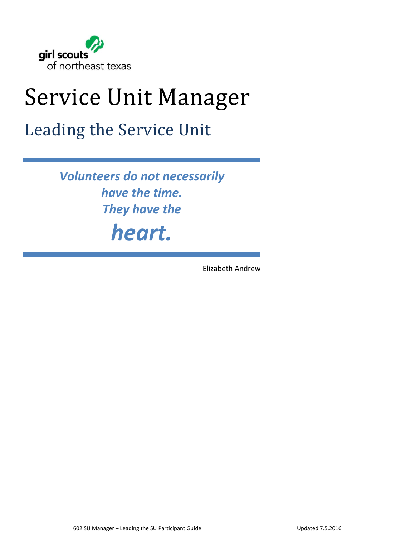

# Service Unit Manager

# Leading the Service Unit

*Volunteers do not necessarily have the time. They have the heart.*

Elizabeth Andrew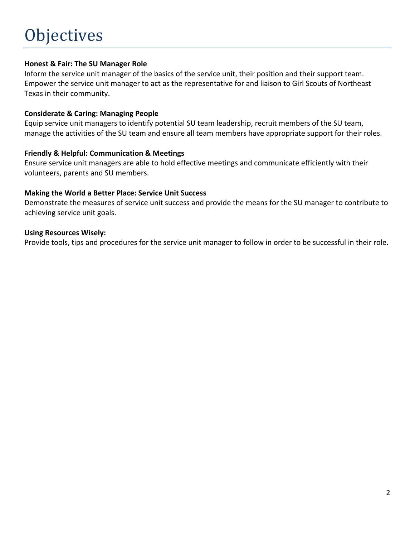## **Honest & Fair: The SU Manager Role**

Inform the service unit manager of the basics of the service unit, their position and their support team. Empower the service unit manager to act as the representative for and liaison to Girl Scouts of Northeast Texas in their community.

## **Considerate & Caring: Managing People**

Equip service unit managers to identify potential SU team leadership, recruit members of the SU team, manage the activities of the SU team and ensure all team members have appropriate support for their roles.

## **Friendly & Helpful: Communication & Meetings**

Ensure service unit managers are able to hold effective meetings and communicate efficiently with their volunteers, parents and SU members.

## **Making the World a Better Place: Service Unit Success**

Demonstrate the measures of service unit success and provide the means for the SU manager to contribute to achieving service unit goals.

### **Using Resources Wisely:**

Provide tools, tips and procedures for the service unit manager to follow in order to be successful in their role.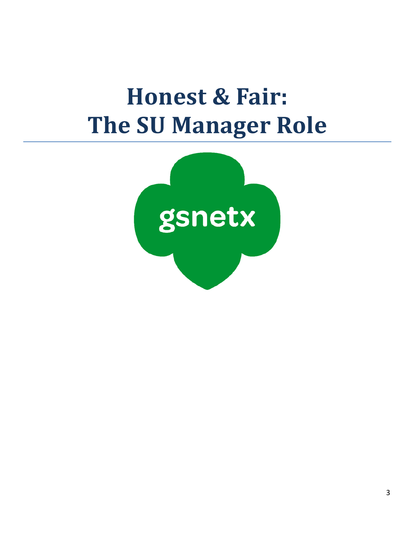# **Honest & Fair: The SU Manager Role**

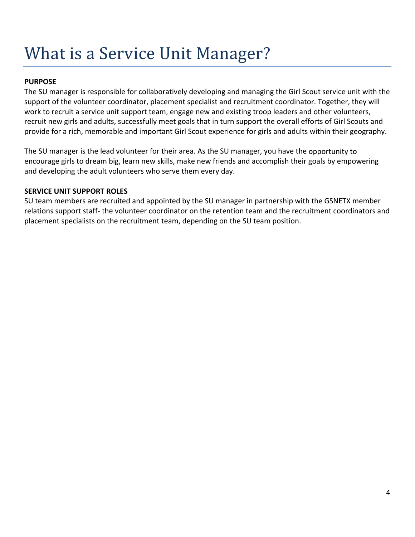# What is a Service Unit Manager?

# **PURPOSE**

The SU manager is responsible for collaboratively developing and managing the Girl Scout service unit with the support of the volunteer coordinator, placement specialist and recruitment coordinator. Together, they will work to recruit a service unit support team, engage new and existing troop leaders and other volunteers, recruit new girls and adults, successfully meet goals that in turn support the overall efforts of Girl Scouts and provide for a rich, memorable and important Girl Scout experience for girls and adults within their geography.

The SU manager is the lead volunteer for their area. As the SU manager, you have the opportunity to encourage girls to dream big, learn new skills, make new friends and accomplish their goals by empowering and developing the adult volunteers who serve them every day.

## **SERVICE UNIT SUPPORT ROLES**

SU team members are recruited and appointed by the SU manager in partnership with the GSNETX member relations support staff‐ the volunteer coordinator on the retention team and the recruitment coordinators and placement specialists on the recruitment team, depending on the SU team position.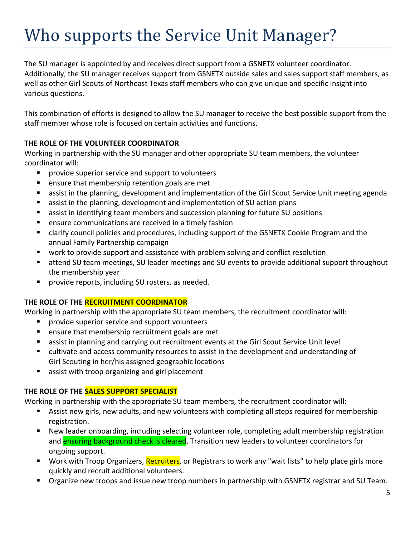# Who supports the Service Unit Manager?

The SU manager is appointed by and receives direct support from a GSNETX volunteer coordinator. Additionally, the SU manager receives support from GSNETX outside sales and sales support staff members, as well as other Girl Scouts of Northeast Texas staff members who can give unique and specific insight into various questions.

This combination of efforts is designed to allow the SU manager to receive the best possible support from the staff member whose role is focused on certain activities and functions.

# **THE ROLE OF THE VOLUNTEER COORDINATOR**

Working in partnership with the SU manager and other appropriate SU team members, the volunteer coordinator will:

- provide superior service and support to volunteers
- ensure that membership retention goals are met
- assist in the planning, development and implementation of the Girl Scout Service Unit meeting agenda
- assist in the planning, development and implementation of SU action plans
- assist in identifying team members and succession planning for future SU positions
- ensure communications are received in a timely fashion
- clarify council policies and procedures, including support of the GSNETX Cookie Program and the annual Family Partnership campaign
- work to provide support and assistance with problem solving and conflict resolution
- attend SU team meetings, SU leader meetings and SU events to provide additional support throughout the membership year
- **Perovide reports, including SU rosters, as needed.**

# **THE ROLE OF THE RECRUITMENT COORDINATOR**

Working in partnership with the appropriate SU team members, the recruitment coordinator will:

- provide superior service and support volunteers
- **E** ensure that membership recruitment goals are met
- assist in planning and carrying out recruitment events at the Girl Scout Service Unit level
- cultivate and access community resources to assist in the development and understanding of Girl Scouting in her/his assigned geographic locations
- assist with troop organizing and girl placement

# **THE ROLE OF THE SALES SUPPORT SPECIALIST**

Working in partnership with the appropriate SU team members, the recruitment coordinator will:

- Assist new girls, new adults, and new volunteers with completing all steps required for membership registration.
- New leader onboarding, including selecting volunteer role, completing adult membership registration and **ensuring background check is cleared**. Transition new leaders to volunteer coordinators for ongoing support.
- Work with Troop Organizers, Recruiters, or Registrars to work any "wait lists" to help place girls more quickly and recruit additional volunteers.
- **•** Organize new troops and issue new troop numbers in partnership with GSNETX registrar and SU Team.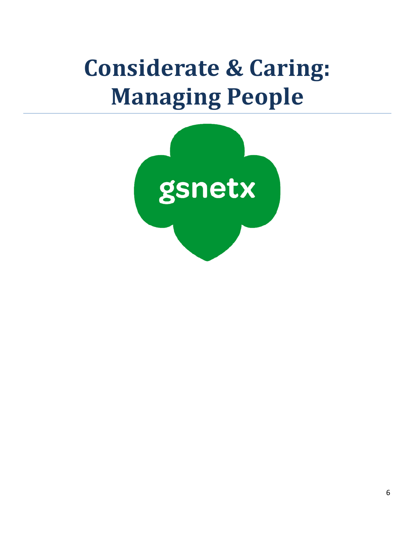# **Considerate & Caring: Managing People**

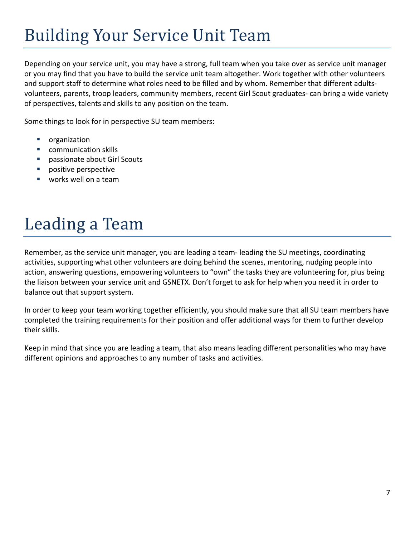# **Building Your Service Unit Team**

Depending on your service unit, you may have a strong, full team when you take over as service unit manager or you may find that you have to build the service unit team altogether. Work together with other volunteers and support staff to determine what roles need to be filled and by whom. Remember that different adults‐ volunteers, parents, troop leaders, community members, recent Girl Scout graduates- can bring a wide variety of perspectives, talents and skills to any position on the team.

Some things to look for in perspective SU team members:

- organization
- **COMMUNICATION SKILLS**
- passionate about Girl Scouts
- positive perspective
- **works well on a team**

# Leading a Team

Remember, as the service unit manager, you are leading a team‐ leading the SU meetings, coordinating activities, supporting what other volunteers are doing behind the scenes, mentoring, nudging people into action, answering questions, empowering volunteers to "own" the tasks they are volunteering for, plus being the liaison between your service unit and GSNETX. Don't forget to ask for help when you need it in order to balance out that support system.

In order to keep your team working together efficiently, you should make sure that all SU team members have completed the training requirements for their position and offer additional ways for them to further develop their skills.

Keep in mind that since you are leading a team, that also means leading different personalities who may have different opinions and approaches to any number of tasks and activities.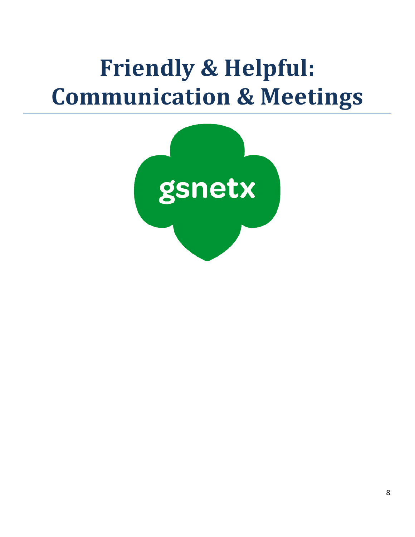# **Friendly & Helpful: Communication & Meetings**

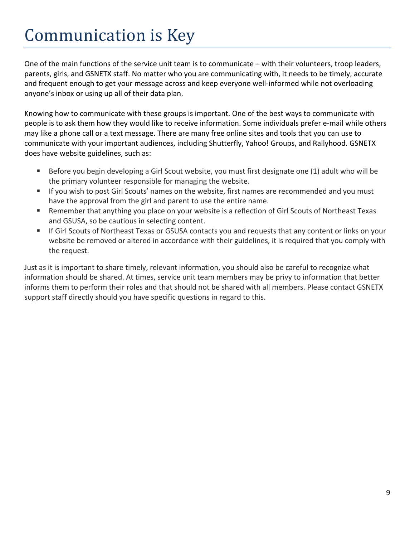# Communication is Key

One of the main functions of the service unit team is to communicate – with their volunteers, troop leaders, parents, girls, and GSNETX staff. No matter who you are communicating with, it needs to be timely, accurate and frequent enough to get your message across and keep everyone well-informed while not overloading anyone's inbox or using up all of their data plan.

Knowing how to communicate with these groups is important. One of the best ways to communicate with people is to ask them how they would like to receive information. Some individuals prefer e‐mail while others may like a phone call or a text message. There are many free online sites and tools that you can use to communicate with your important audiences, including Shutterfly, Yahoo! Groups, and Rallyhood. GSNETX does have website guidelines, such as:

- Before you begin developing a Girl Scout website, you must first designate one (1) adult who will be the primary volunteer responsible for managing the website.
- If you wish to post Girl Scouts' names on the website, first names are recommended and you must have the approval from the girl and parent to use the entire name.
- Remember that anything you place on your website is a reflection of Girl Scouts of Northeast Texas and GSUSA, so be cautious in selecting content.
- If Girl Scouts of Northeast Texas or GSUSA contacts you and requests that any content or links on your website be removed or altered in accordance with their guidelines, it is required that you comply with the request.

Just as it is important to share timely, relevant information, you should also be careful to recognize what information should be shared. At times, service unit team members may be privy to information that better informs them to perform their roles and that should not be shared with all members. Please contact GSNETX support staff directly should you have specific questions in regard to this.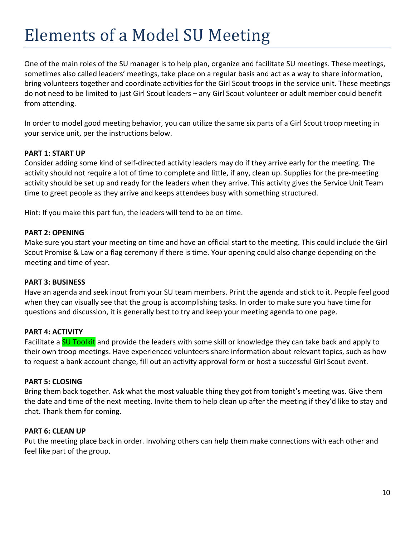# Elements of a Model SU Meeting

One of the main roles of the SU manager is to help plan, organize and facilitate SU meetings. These meetings, sometimes also called leaders' meetings, take place on a regular basis and act as a way to share information, bring volunteers together and coordinate activities for the Girl Scout troops in the service unit. These meetings do not need to be limited to just Girl Scout leaders – any Girl Scout volunteer or adult member could benefit from attending.

In order to model good meeting behavior, you can utilize the same six parts of a Girl Scout troop meeting in your service unit, per the instructions below.

## **PART 1: START UP**

Consider adding some kind of self‐directed activity leaders may do if they arrive early for the meeting. The activity should not require a lot of time to complete and little, if any, clean up. Supplies for the pre‐meeting activity should be set up and ready for the leaders when they arrive. This activity gives the Service Unit Team time to greet people as they arrive and keeps attendees busy with something structured.

Hint: If you make this part fun, the leaders will tend to be on time.

#### **PART 2: OPENING**

Make sure you start your meeting on time and have an official start to the meeting. This could include the Girl Scout Promise & Law or a flag ceremony if there is time. Your opening could also change depending on the meeting and time of year.

### **PART 3: BUSINESS**

Have an agenda and seek input from your SU team members. Print the agenda and stick to it. People feel good when they can visually see that the group is accomplishing tasks. In order to make sure you have time for questions and discussion, it is generally best to try and keep your meeting agenda to one page.

### **PART 4: ACTIVITY**

Facilitate a SU Toolkit and provide the leaders with some skill or knowledge they can take back and apply to their own troop meetings. Have experienced volunteers share information about relevant topics, such as how to request a bank account change, fill out an activity approval form or host a successful Girl Scout event.

### **PART 5: CLOSING**

Bring them back together. Ask what the most valuable thing they got from tonight's meeting was. Give them the date and time of the next meeting. Invite them to help clean up after the meeting if they'd like to stay and chat. Thank them for coming.

#### **PART 6: CLEAN UP**

Put the meeting place back in order. Involving others can help them make connections with each other and feel like part of the group.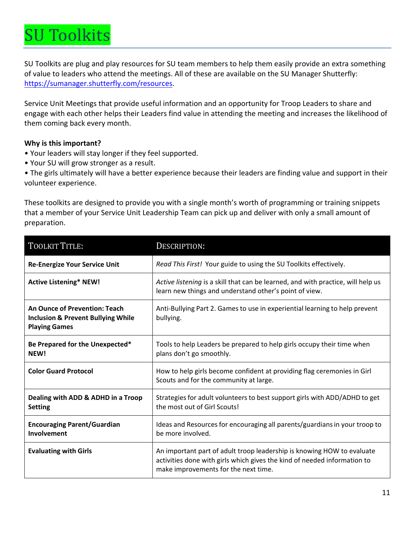# J Toolkits

SU Toolkits are plug and play resources for SU team members to help them easily provide an extra something of value to leaders who attend the meetings. All of these are available on the SU Manager Shutterfly: https://sumanager.shutterfly.com/resources.

Service Unit Meetings that provide useful information and an opportunity for Troop Leaders to share and engage with each other helps their Leaders find value in attending the meeting and increases the likelihood of them coming back every month.

# **Why is this important?**

- Your leaders will stay longer if they feel supported.
- Your SU will grow stronger as a result.

• The girls ultimately will have a better experience because their leaders are finding value and support in their volunteer experience.

These toolkits are designed to provide you with a single month's worth of programming or training snippets that a member of your Service Unit Leadership Team can pick up and deliver with only a small amount of preparation.

| <b>TOOLKIT TITLE:</b>                                                                                         | DESCRIPTION:                                                                                                                                                                               |
|---------------------------------------------------------------------------------------------------------------|--------------------------------------------------------------------------------------------------------------------------------------------------------------------------------------------|
| <b>Re-Energize Your Service Unit</b>                                                                          | Read This First! Your guide to using the SU Toolkits effectively.                                                                                                                          |
| <b>Active Listening* NEW!</b>                                                                                 | Active listening is a skill that can be learned, and with practice, will help us<br>learn new things and understand other's point of view.                                                 |
| <b>An Ounce of Prevention: Teach</b><br><b>Inclusion &amp; Prevent Bullying While</b><br><b>Playing Games</b> | Anti-Bullying Part 2. Games to use in experiential learning to help prevent<br>bullying.                                                                                                   |
| Be Prepared for the Unexpected*<br>NEW!                                                                       | Tools to help Leaders be prepared to help girls occupy their time when<br>plans don't go smoothly.                                                                                         |
| <b>Color Guard Protocol</b>                                                                                   | How to help girls become confident at providing flag ceremonies in Girl<br>Scouts and for the community at large.                                                                          |
| Dealing with ADD & ADHD in a Troop<br><b>Setting</b>                                                          | Strategies for adult volunteers to best support girls with ADD/ADHD to get<br>the most out of Girl Scouts!                                                                                 |
| <b>Encouraging Parent/Guardian</b><br>Involvement                                                             | Ideas and Resources for encouraging all parents/guardians in your troop to<br>be more involved.                                                                                            |
| <b>Evaluating with Girls</b>                                                                                  | An important part of adult troop leadership is knowing HOW to evaluate<br>activities done with girls which gives the kind of needed information to<br>make improvements for the next time. |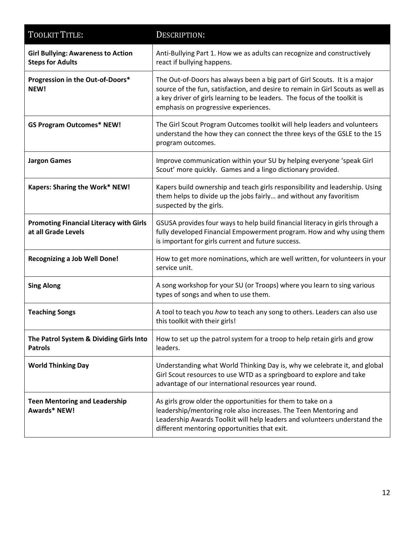| <b>TOOLKIT TITLE:</b>                                                 | DESCRIPTION:                                                                                                                                                                                                                                                                      |
|-----------------------------------------------------------------------|-----------------------------------------------------------------------------------------------------------------------------------------------------------------------------------------------------------------------------------------------------------------------------------|
| <b>Girl Bullying: Awareness to Action</b><br><b>Steps for Adults</b>  | Anti-Bullying Part 1. How we as adults can recognize and constructively<br>react if bullying happens.                                                                                                                                                                             |
| Progression in the Out-of-Doors*<br>NEW!                              | The Out-of-Doors has always been a big part of Girl Scouts. It is a major<br>source of the fun, satisfaction, and desire to remain in Girl Scouts as well as<br>a key driver of girls learning to be leaders. The focus of the toolkit is<br>emphasis on progressive experiences. |
| <b>GS Program Outcomes* NEW!</b>                                      | The Girl Scout Program Outcomes toolkit will help leaders and volunteers<br>understand the how they can connect the three keys of the GSLE to the 15<br>program outcomes.                                                                                                         |
| <b>Jargon Games</b>                                                   | Improve communication within your SU by helping everyone 'speak Girl<br>Scout' more quickly. Games and a lingo dictionary provided.                                                                                                                                               |
| Kapers: Sharing the Work* NEW!                                        | Kapers build ownership and teach girls responsibility and leadership. Using<br>them helps to divide up the jobs fairly and without any favoritism<br>suspected by the girls.                                                                                                      |
| <b>Promoting Financial Literacy with Girls</b><br>at all Grade Levels | GSUSA provides four ways to help build financial literacy in girls through a<br>fully developed Financial Empowerment program. How and why using them<br>is important for girls current and future success.                                                                       |
| <b>Recognizing a Job Well Done!</b>                                   | How to get more nominations, which are well written, for volunteers in your<br>service unit.                                                                                                                                                                                      |
| <b>Sing Along</b>                                                     | A song workshop for your SU (or Troops) where you learn to sing various<br>types of songs and when to use them.                                                                                                                                                                   |
| <b>Teaching Songs</b>                                                 | A tool to teach you how to teach any song to others. Leaders can also use<br>this toolkit with their girls!                                                                                                                                                                       |
| The Patrol System & Dividing Girls Into<br><b>Patrols</b>             | How to set up the patrol system for a troop to help retain girls and grow<br>leaders.                                                                                                                                                                                             |
| <b>World Thinking Day</b>                                             | Understanding what World Thinking Day is, why we celebrate it, and global<br>Girl Scout resources to use WTD as a springboard to explore and take<br>advantage of our international resources year round.                                                                         |
| <b>Teen Mentoring and Leadership</b><br><b>Awards* NEW!</b>           | As girls grow older the opportunities for them to take on a<br>leadership/mentoring role also increases. The Teen Mentoring and<br>Leadership Awards Toolkit will help leaders and volunteers understand the<br>different mentoring opportunities that exit.                      |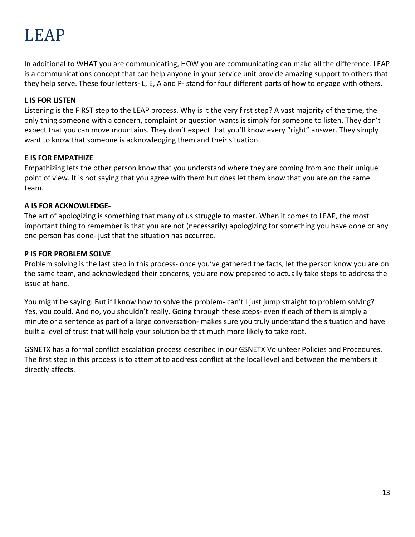# LEAP

In additional to WHAT you are communicating, HOW you are communicating can make all the difference. LEAP is a communications concept that can help anyone in your service unit provide amazing support to others that they help serve. These four letters‐ L, E, A and P‐ stand for four different parts of how to engage with others.

## **L IS FOR LISTEN**

Listening is the FIRST step to the LEAP process. Why is it the very first step? A vast majority of the time, the only thing someone with a concern, complaint or question wants is simply for someone to listen. They don't expect that you can move mountains. They don't expect that you'll know every "right" answer. They simply want to know that someone is acknowledging them and their situation.

## **E IS FOR EMPATHIZE**

Empathizing lets the other person know that you understand where they are coming from and their unique point of view. It is not saying that you agree with them but does let them know that you are on the same team.

## **A IS FOR ACKNOWLEDGE‐**

The art of apologizing is something that many of us struggle to master. When it comes to LEAP, the most important thing to remember is that you are not (necessarily) apologizing for something you have done or any one person has done‐ just that the situation has occurred.

## **P IS FOR PROBLEM SOLVE**

Problem solving is the last step in this process‐ once you've gathered the facts, let the person know you are on the same team, and acknowledged their concerns, you are now prepared to actually take steps to address the issue at hand.

You might be saying: But if I know how to solve the problem‐ can't I just jump straight to problem solving? Yes, you could. And no, you shouldn't really. Going through these steps‐ even if each of them is simply a minute or a sentence as part of a large conversation‐ makes sure you truly understand the situation and have built a level of trust that will help your solution be that much more likely to take root.

GSNETX has a formal conflict escalation process described in our GSNETX Volunteer Policies and Procedures. The first step in this process is to attempt to address conflict at the local level and between the members it directly affects.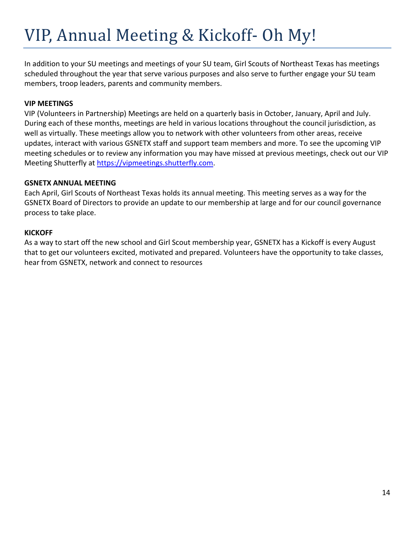# VIP, Annual Meeting & Kickoff- Oh My!

In addition to your SU meetings and meetings of your SU team, Girl Scouts of Northeast Texas has meetings scheduled throughout the year that serve various purposes and also serve to further engage your SU team members, troop leaders, parents and community members.

### **VIP MEETINGS**

VIP (Volunteers in Partnership) Meetings are held on a quarterly basis in October, January, April and July. During each of these months, meetings are held in various locations throughout the council jurisdiction, as well as virtually. These meetings allow you to network with other volunteers from other areas, receive updates, interact with various GSNETX staff and support team members and more. To see the upcoming VIP meeting schedules or to review any information you may have missed at previous meetings, check out our VIP Meeting Shutterfly at https://vipmeetings.shutterfly.com.

## **GSNETX ANNUAL MEETING**

Each April, Girl Scouts of Northeast Texas holds its annual meeting. This meeting serves as a way for the GSNETX Board of Directors to provide an update to our membership at large and for our council governance process to take place.

## **KICKOFF**

As a way to start off the new school and Girl Scout membership year, GSNETX has a Kickoff is every August that to get our volunteers excited, motivated and prepared. Volunteers have the opportunity to take classes, hear from GSNETX, network and connect to resources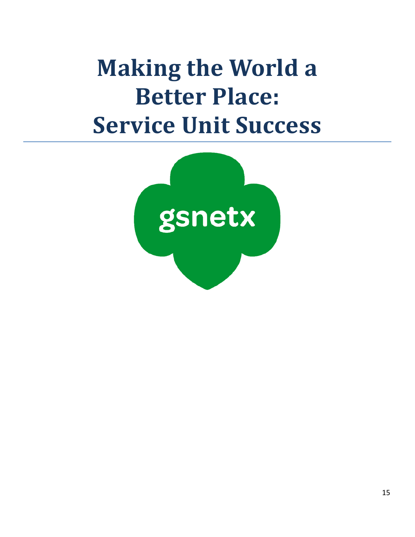# **Making the World a Better Place: Service Unit Success**

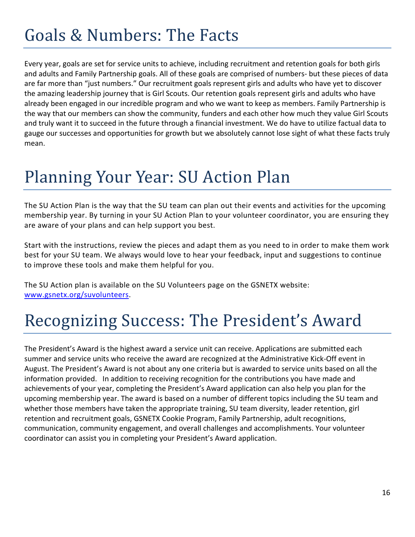# Goals & Numbers: The Facts

Every year, goals are set for service units to achieve, including recruitment and retention goals for both girls and adults and Family Partnership goals. All of these goals are comprised of numbers‐ but these pieces of data are far more than "just numbers." Our recruitment goals represent girls and adults who have yet to discover the amazing leadership journey that is Girl Scouts. Our retention goals represent girls and adults who have already been engaged in our incredible program and who we want to keep as members. Family Partnership is the way that our members can show the community, funders and each other how much they value Girl Scouts and truly want it to succeed in the future through a financial investment. We do have to utilize factual data to gauge our successes and opportunities for growth but we absolutely cannot lose sight of what these facts truly mean.

# Planning Your Year: SU Action Plan

The SU Action Plan is the way that the SU team can plan out their events and activities for the upcoming membership year. By turning in your SU Action Plan to your volunteer coordinator, you are ensuring they are aware of your plans and can help support you best.

Start with the instructions, review the pieces and adapt them as you need to in order to make them work best for your SU team. We always would love to hear your feedback, input and suggestions to continue to improve these tools and make them helpful for you.

The SU Action plan is available on the SU Volunteers page on the GSNETX website: www.gsnetx.org/suvolunteers.

# Recognizing Success: The President's Award

The President's Award is the highest award a service unit can receive. Applications are submitted each summer and service units who receive the award are recognized at the Administrative Kick-Off event in August. The President's Award is not about any one criteria but is awarded to service units based on all the information provided. In addition to receiving recognition for the contributions you have made and achievements of your year, completing the President's Award application can also help you plan for the upcoming membership year. The award is based on a number of different topics including the SU team and whether those members have taken the appropriate training, SU team diversity, leader retention, girl retention and recruitment goals, GSNETX Cookie Program, Family Partnership, adult recognitions, communication, community engagement, and overall challenges and accomplishments. Your volunteer coordinator can assist you in completing your President's Award application.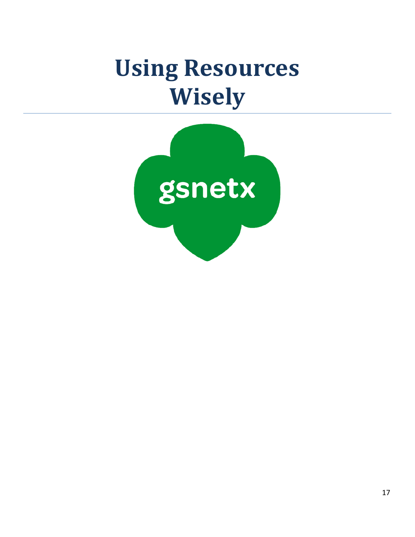# **Using Resources Wisely**

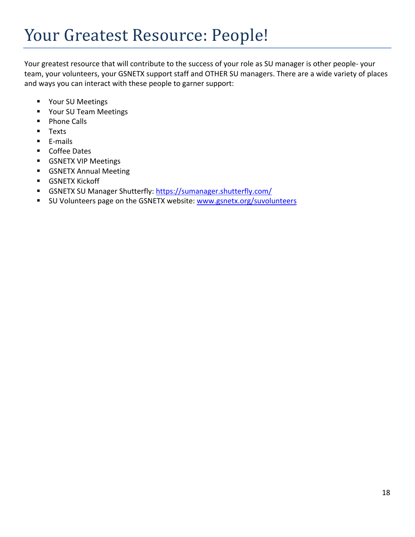# Your Greatest Resource: People!

Your greatest resource that will contribute to the success of your role as SU manager is other people‐ your team, your volunteers, your GSNETX support staff and OTHER SU managers. There are a wide variety of places and ways you can interact with these people to garner support:

- **•** Your SU Meetings
- **Part Your SU Team Meetings**
- **Phone Calls**
- **Texts**
- E-mails
- Coffee Dates
- **GSNETX VIP Meetings**
- **GSNETX Annual Meeting**
- **GSNETX Kickoff**
- GSNETX SU Manager Shutterfly: https://sumanager.shutterfly.com/
- SU Volunteers page on the GSNETX website: www.gsnetx.org/suvolunteers